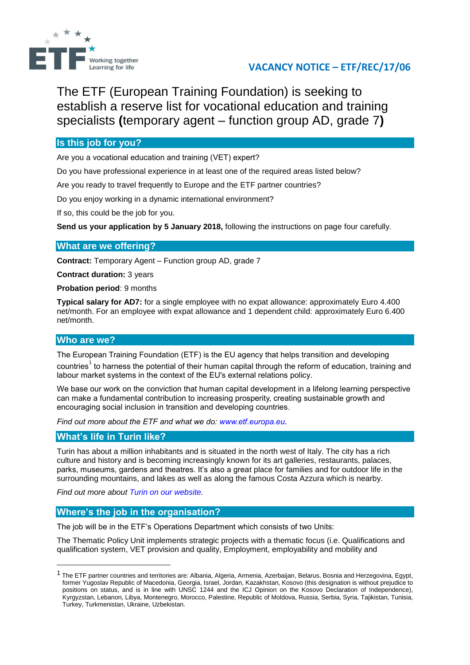

# **VACANCY NOTICE – ETF/REC/17/06**

The ETF (European Training Foundation) is seeking to establish a reserve list for vocational education and training specialists **(**temporary agent – function group AD, grade 7**)**

# **Is this job for you?**

Are you a vocational education and training (VET) expert?

Do you have professional experience in at least one of the required areas listed below?

Are you ready to travel frequently to Europe and the ETF partner countries?

Do you enjoy working in a dynamic international environment?

If so, this could be the job for you.

**Send us your application by 5 January 2018,** following the instructions on page four carefully.

# **What are we offering?**

**Contract:** Temporary Agent – Function group AD, grade 7

**Contract duration:** 3 years

**Probation period**: 9 months

**Typical salary for AD7:** for a single employee with no expat allowance: approximately Euro 4.400 net/month. For an employee with expat allowance and 1 dependent child: approximately Euro 6.400 net/month.

## **Who are we?**

**.** 

The European Training Foundation (ETF) is the EU agency that helps transition and developing countries<sup>1</sup> to harness the potential of their human capital through the reform of education, training and labour market systems in the context of the EU's external relations policy.

We base our work on the conviction that human capital development in a lifelong learning perspective can make a fundamental contribution to increasing prosperity, creating sustainable growth and encouraging social inclusion in transition and developing countries.

*Find out more about the ETF and what we do: [www.etf.europa.eu](http://www.etf.europa.eu/).*

## **What's life in Turin like?**

Turin has about a million inhabitants and is situated in the north west of Italy. The city has a rich culture and history and is becoming increasingly known for its art galleries, restaurants, palaces, parks, museums, gardens and theatres. It's also a great place for families and for outdoor life in the surrounding mountains, and lakes as well as along the famous Costa Azzura which is nearby.

*Find out more about [Turin on our website.](http://www.etf.europa.eu/web.nsf/pages/Hows_life_in_Turin_EN)*

## **Where's the job in the organisation?**

The job will be in the ETF's Operations Department which consists of two Units:

The Thematic Policy Unit implements strategic projects with a thematic focus (i.e. Qualifications and qualification system, VET provision and quality, Employment, employability and mobility and

<sup>&</sup>lt;sup>1</sup> The ETF partner countries and territories are: Albania, Algeria, Armenia, Azerbaijan, Belarus, Bosnia and Herzegovina, Egypt, former Yugoslav Republic of Macedonia, Georgia, Israel, Jordan, Kazakhstan, Kosovo (this designation is without prejudice to positions on status, and is in line with UNSC 1244 and the ICJ Opinion on the Kosovo Declaration of Independence), Kyrgyzstan, Lebanon, Libya, Montenegro, Morocco, Palestine, Republic of Moldova, Russia, Serbia, Syria, Tajikistan, Tunisia, Turkey, Turkmenistan, Ukraine, Uzbekistan.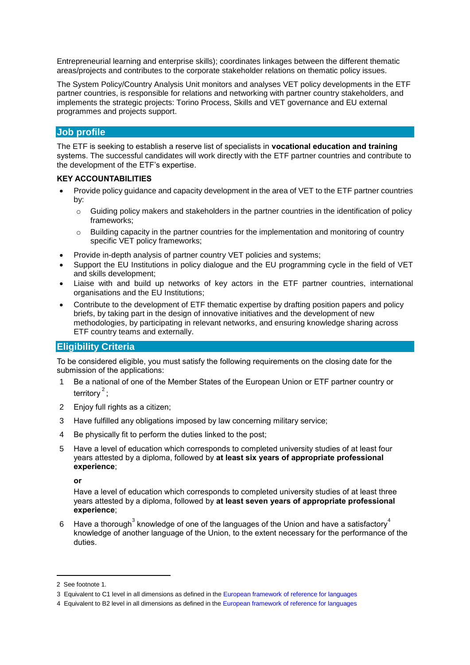Entrepreneurial learning and enterprise skills); coordinates linkages between the different thematic areas/projects and contributes to the corporate stakeholder relations on thematic policy issues.

The System Policy/Country Analysis Unit monitors and analyses VET policy developments in the ETF partner countries, is responsible for relations and networking with partner country stakeholders, and implements the strategic projects: Torino Process, Skills and VET governance and EU external programmes and projects support.

# **Job profile**

The ETF is seeking to establish a reserve list of specialists in **vocational education and training**  systems. The successful candidates will work directly with the ETF partner countries and contribute to the development of the ETF's expertise.

#### **KEY ACCOUNTABILITIES**

- Provide policy guidance and capacity development in the area of VET to the ETF partner countries by:
	- o Guiding policy makers and stakeholders in the partner countries in the identification of policy frameworks;
	- $\circ$  Building capacity in the partner countries for the implementation and monitoring of country specific VET policy frameworks;
- Provide in-depth analysis of partner country VET policies and systems;
- Support the EU Institutions in policy dialogue and the EU programming cycle in the field of VET and skills development;
- Liaise with and build up networks of key actors in the ETF partner countries, international organisations and the EU Institutions;
- Contribute to the development of ETF thematic expertise by drafting position papers and policy briefs, by taking part in the design of innovative initiatives and the development of new methodologies, by participating in relevant networks, and ensuring knowledge sharing across ETF country teams and externally.

## **Eligibility Criteria**

To be considered eligible, you must satisfy the following requirements on the closing date for the submission of the applications:

- 1 Be a national of one of the Member States of the European Union or ETF partner country or territory $^2$ ;
- 2 Enjoy full rights as a citizen;
- 3 Have fulfilled any obligations imposed by law concerning military service;
- 4 Be physically fit to perform the duties linked to the post;
- 5 Have a level of education which corresponds to completed university studies of at least four years attested by a diploma, followed by **at least six years of appropriate professional experience**;

**or**

Have a level of education which corresponds to completed university studies of at least three years attested by a diploma, followed by **at least seven years of appropriate professional experience**;

6 Have a thorough<sup>3</sup> knowledge of one of the languages of the Union and have a satisfactory<sup>4</sup> knowledge of another language of the Union, to the extent necessary for the performance of the duties.

1

<sup>2</sup> See footnote 1.

<sup>3</sup> Equivalent to C1 level in all dimensions as defined in the [European framework of reference for languages](http://europass.cedefop.europa.eu/en/resources/european-language-levels-cefr?loc=en_EN)

<sup>4</sup> Equivalent to B2 level in all dimensions as defined in th[e European framework of reference for languages](http://europass.cedefop.europa.eu/en/resources/european-language-levels-cefr?loc=en_EN)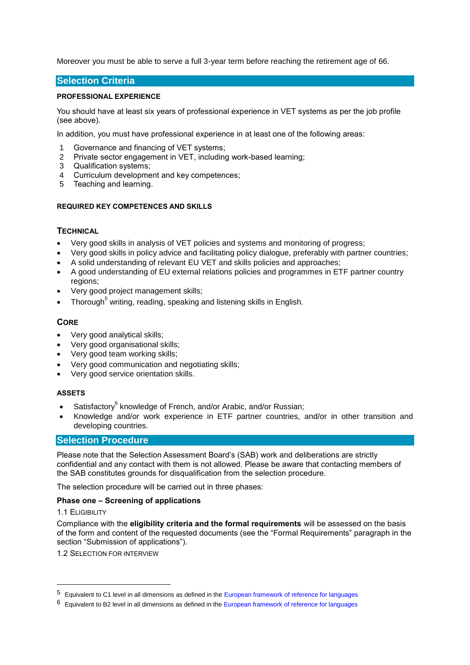Moreover you must be able to serve a full 3-year term before reaching the retirement age of 66.

### **Selection Criteria**

#### **PROFESSIONAL EXPERIENCE**

You should have at least six years of professional experience in VET systems as per the job profile (see above).

In addition, you must have professional experience in at least one of the following areas:

- 1 Governance and financing of VET systems;
- 2 Private sector engagement in VET, including work-based learning;
- 3 Qualification systems;
- 4 Curriculum development and key competences;
- 5 Teaching and learning.

#### **REQUIRED KEY COMPETENCES AND SKILLS**

#### **TECHNICAL**

- Very good skills in analysis of VET policies and systems and monitoring of progress;
- Very good skills in policy advice and facilitating policy dialogue, preferably with partner countries;
- A solid understanding of relevant EU VET and skills policies and approaches;
- A good understanding of EU external relations policies and programmes in ETF partner country regions;
- Very good project management skills;
- $\bullet$  Thorough<sup>5</sup> writing, reading, speaking and listening skills in English.

#### **CORE**

- Very good analytical skills;
- Very good organisational skills;
- Very good team working skills;
- Very good communication and negotiating skills;
- Very good service orientation skills.

#### **ASSETS**

- Satisfactory<sup>6</sup> knowledge of French, and/or Arabic, and/or Russian;
- Knowledge and/or work experience in ETF partner countries, and/or in other transition and developing countries.

## **Selection Procedure**

Please note that the Selection Assessment Board's (SAB) work and deliberations are strictly confidential and any contact with them is not allowed. Please be aware that contacting members of the SAB constitutes grounds for disqualification from the selection procedure.

The selection procedure will be carried out in three phases:

#### **Phase one – Screening of applications**

#### 1.1 ELIGIBILITY

 $\overline{a}$ 

Compliance with the **eligibility criteria and the formal requirements** will be assessed on the basis of the form and content of the requested documents (see the "Formal Requirements" paragraph in the section "Submission of applications").

1.2 SELECTION FOR INTERVIEW

<sup>5</sup> Equivalent to C1 level in all dimensions as defined in the [European framework of reference for languages](http://europass.cedefop.europa.eu/en/resources/european-language-levels-cefr?loc=en_EN)

 $6$  Equivalent to B2 level in all dimensions as defined in th[e European framework of reference for languages](http://europass.cedefop.europa.eu/en/resources/european-language-levels-cefr?loc=en_EN)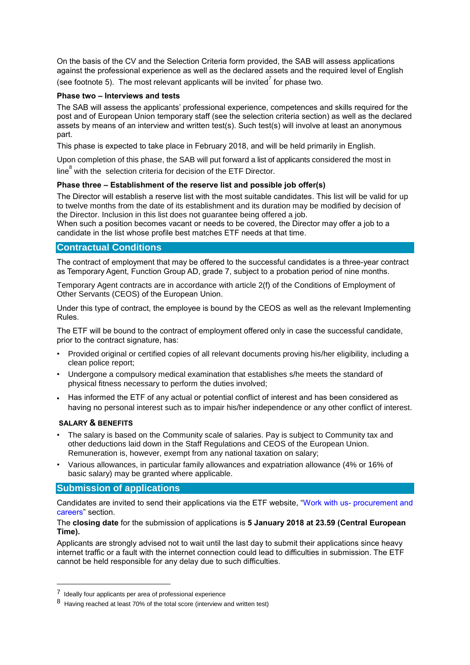On the basis of the CV and the Selection Criteria form provided, the SAB will assess applications against the professional experience as well as the declared assets and the required level of English (see footnote 5). The most relevant applicants will be invited<sup>7</sup> for phase two.

#### **Phase two – Interviews and tests**

The SAB will assess the applicants' professional experience, competences and skills required for the post and of European Union temporary staff (see the selection criteria section) as well as the declared assets by means of an interview and written test(s). Such test(s) will involve at least an anonymous part.

This phase is expected to take place in February 2018, and will be held primarily in English.

Upon completion of this phase, the SAB will put forward a list of applicants considered the most in

line $^8$  with the selection criteria for decision of the ETF Director.

#### **Phase three – Establishment of the reserve list and possible job offer(s)**

The Director will establish a reserve list with the most suitable candidates. This list will be valid for up to twelve months from the date of its establishment and its duration may be modified by decision of the Director. Inclusion in this list does not guarantee being offered a job.

When such a position becomes vacant or needs to be covered, the Director may offer a job to a candidate in the list whose profile best matches ETF needs at that time.

## **Contractual Conditions**

The contract of employment that may be offered to the successful candidates is a three-year contract as Temporary Agent, Function Group AD, grade 7, subject to a probation period of nine months.

Temporary Agent contracts are in accordance with article 2(f) of the Conditions of Employment of Other Servants (CEOS) of the European Union.

Under this type of contract, the employee is bound by the CEOS as well as the relevant Implementing Rules.

The ETF will be bound to the contract of employment offered only in case the successful candidate, prior to the contract signature, has:

- Provided original or certified copies of all relevant documents proving his/her eligibility, including a clean police report;
- Undergone a compulsory medical examination that establishes s/he meets the standard of physical fitness necessary to perform the duties involved;
- Has informed the ETF of any actual or potential conflict of interest and has been considered as having no personal interest such as to impair his/her independence or any other conflict of interest.

## **SALARY & BENEFITS**

 $\overline{a}$ 

- The salary is based on the Community scale of salaries. Pay is subject to Community tax and other deductions laid down in the Staff Regulations and CEOS of the European Union. Remuneration is, however, exempt from any national taxation on salary;
- Various allowances, in particular family allowances and expatriation allowance (4% or 16% of basic salary) may be granted where applicable.

## **Submission of applications**

Candidates are invited to send their applications via the ETF website, "Work with us- [procurement and](http://www.etf.europa.eu/web.nsf/pages/Job_vacancies)  [careers"](http://www.etf.europa.eu/web.nsf/pages/Job_vacancies) section.

#### The **closing date** for the submission of applications is **5 January 2018 at 23.59 (Central European Time).**

Applicants are strongly advised not to wait until the last day to submit their applications since heavy internet traffic or a fault with the internet connection could lead to difficulties in submission. The ETF cannot be held responsible for any delay due to such difficulties.

<sup>7</sup> Ideally four applicants per area of professional experience

<sup>8</sup> Having reached at least 70% of the total score (interview and written test)